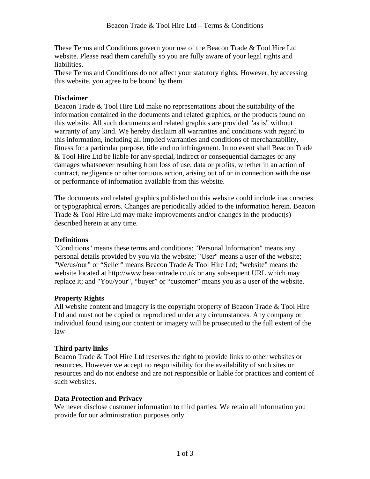These Terms and Conditions govern your use of the Beacon Trade & Tool Hire Ltd website. Please read them carefully so you are fully aware of your legal rights and liabilities.

These Terms and Conditions do not affect your statutory rights. However, by accessing this website, you agree to be bound by them.

#### **Disclaimer**

Beacon Trade & Tool Hire Ltd make no representations about the suitability of the information contained in the documents and related graphics, or the products found on this website. All such documents and related graphics are provided "as is" without warranty of any kind. We hereby disclaim all warranties and conditions with regard to this information, including all implied warranties and conditions of merchantability, fitness for a particular purpose, title and no infringement. In no event shall Beacon Trade & Tool Hire Ltd be liable for any special, indirect or consequential damages or any damages whatsoever resulting from loss of use, data or profits, whether in an action of contract, negligence or other tortuous action, arising out of or in connection with the use or performance of information available from this website.

The documents and related graphics published on this website could include inaccuracies or typographical errors. Changes are periodically added to the information herein. Beacon Trade & Tool Hire Ltd may make improvements and/or changes in the product(s) described herein at any time.

# **Definitions**

"Conditions" means these terms and conditions: "Personal Information" means any personal details provided by you via the website; "User" means a user of the website; "We/us/our" or "Seller" means Beacon Trade & Tool Hire Ltd; "website" means the website located at http://www.beacontrade.co.uk or any subsequent URL which may replace it; and "You/your", "buyer" or "customer" means you as a user of the website.

# **Property Rights**

All website content and imagery is the copyright property of Beacon Trade & Tool Hire Ltd and must not be copied or reproduced under any circumstances. Any company or individual found using our content or imagery will be prosecuted to the full extent of the law

# **Third party links**

Beacon Trade & Tool Hire Ltd reserves the right to provide links to other websites or resources. However we accept no responsibility for the availability of such sites or resources and do not endorse and are not responsible or liable for practices and content of such websites.

# **Data Protection and Privacy**

We never disclose customer information to third parties. We retain all information you provide for our administration purposes only.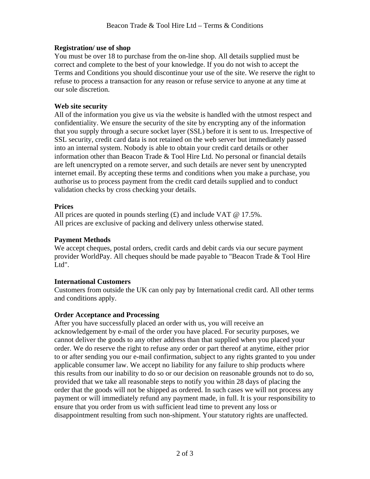#### **Registration/ use of shop**

You must be over 18 to purchase from the on-line shop. All details supplied must be correct and complete to the best of your knowledge. If you do not wish to accept the Terms and Conditions you should discontinue your use of the site. We reserve the right to refuse to process a transaction for any reason or refuse service to anyone at any time at our sole discretion.

#### **Web site security**

All of the information you give us via the website is handled with the utmost respect and confidentiality. We ensure the security of the site by encrypting any of the information that you supply through a secure socket layer (SSL) before it is sent to us. Irrespective of SSL security, credit card data is not retained on the web server but immediately passed into an internal system. Nobody is able to obtain your credit card details or other information other than Beacon Trade & Tool Hire Ltd. No personal or financial details are left unencrypted on a remote server, and such details are never sent by unencrypted internet email. By accepting these terms and conditions when you make a purchase, you authorise us to process payment from the credit card details supplied and to conduct validation checks by cross checking your details.

#### **Prices**

All prices are quoted in pounds sterling  $(\text{\pounds})$  and include VAT @ 17.5%. All prices are exclusive of packing and delivery unless otherwise stated.

# **Payment Methods**

We accept cheques, postal orders, credit cards and debit cards via our secure payment provider WorldPay. All cheques should be made payable to "Beacon Trade & Tool Hire Ltd".

# **International Customers**

Customers from outside the UK can only pay by International credit card. All other terms and conditions apply.

# **Order Acceptance and Processing**

After you have successfully placed an order with us, you will receive an acknowledgement by e-mail of the order you have placed. For security purposes, we cannot deliver the goods to any other address than that supplied when you placed your order. We do reserve the right to refuse any order or part thereof at anytime, either prior to or after sending you our e-mail confirmation, subject to any rights granted to you under applicable consumer law. We accept no liability for any failure to ship products where this results from our inability to do so or our decision on reasonable grounds not to do so, provided that we take all reasonable steps to notify you within 28 days of placing the order that the goods will not be shipped as ordered. In such cases we will not process any payment or will immediately refund any payment made, in full. It is your responsibility to ensure that you order from us with sufficient lead time to prevent any loss or disappointment resulting from such non-shipment. Your statutory rights are unaffected.